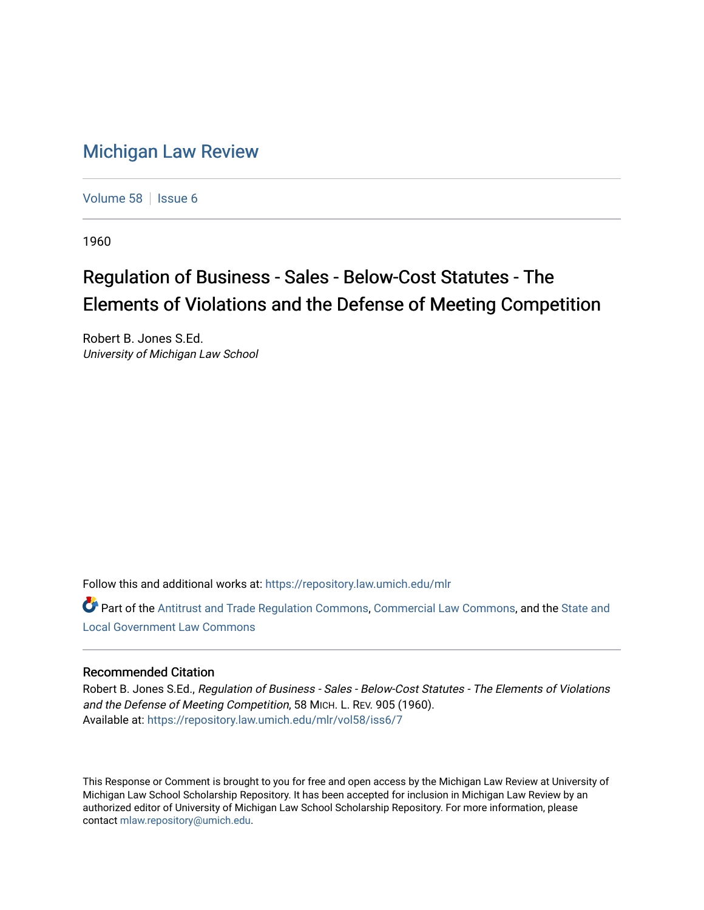## [Michigan Law Review](https://repository.law.umich.edu/mlr)

[Volume 58](https://repository.law.umich.edu/mlr/vol58) | [Issue 6](https://repository.law.umich.edu/mlr/vol58/iss6)

1960

# Regulation of Business - Sales - Below-Cost Statutes - The Elements of Violations and the Defense of Meeting Competition

Robert B. Jones S.Ed. University of Michigan Law School

Follow this and additional works at: [https://repository.law.umich.edu/mlr](https://repository.law.umich.edu/mlr?utm_source=repository.law.umich.edu%2Fmlr%2Fvol58%2Fiss6%2F7&utm_medium=PDF&utm_campaign=PDFCoverPages) 

Part of the [Antitrust and Trade Regulation Commons,](http://network.bepress.com/hgg/discipline/911?utm_source=repository.law.umich.edu%2Fmlr%2Fvol58%2Fiss6%2F7&utm_medium=PDF&utm_campaign=PDFCoverPages) [Commercial Law Commons](http://network.bepress.com/hgg/discipline/586?utm_source=repository.law.umich.edu%2Fmlr%2Fvol58%2Fiss6%2F7&utm_medium=PDF&utm_campaign=PDFCoverPages), and the State and [Local Government Law Commons](http://network.bepress.com/hgg/discipline/879?utm_source=repository.law.umich.edu%2Fmlr%2Fvol58%2Fiss6%2F7&utm_medium=PDF&utm_campaign=PDFCoverPages)

## Recommended Citation

Robert B. Jones S.Ed., Regulation of Business - Sales - Below-Cost Statutes - The Elements of Violations and the Defense of Meeting Competition, 58 MICH. L. REV. 905 (1960). Available at: [https://repository.law.umich.edu/mlr/vol58/iss6/7](https://repository.law.umich.edu/mlr/vol58/iss6/7?utm_source=repository.law.umich.edu%2Fmlr%2Fvol58%2Fiss6%2F7&utm_medium=PDF&utm_campaign=PDFCoverPages)

This Response or Comment is brought to you for free and open access by the Michigan Law Review at University of Michigan Law School Scholarship Repository. It has been accepted for inclusion in Michigan Law Review by an authorized editor of University of Michigan Law School Scholarship Repository. For more information, please contact [mlaw.repository@umich.edu](mailto:mlaw.repository@umich.edu).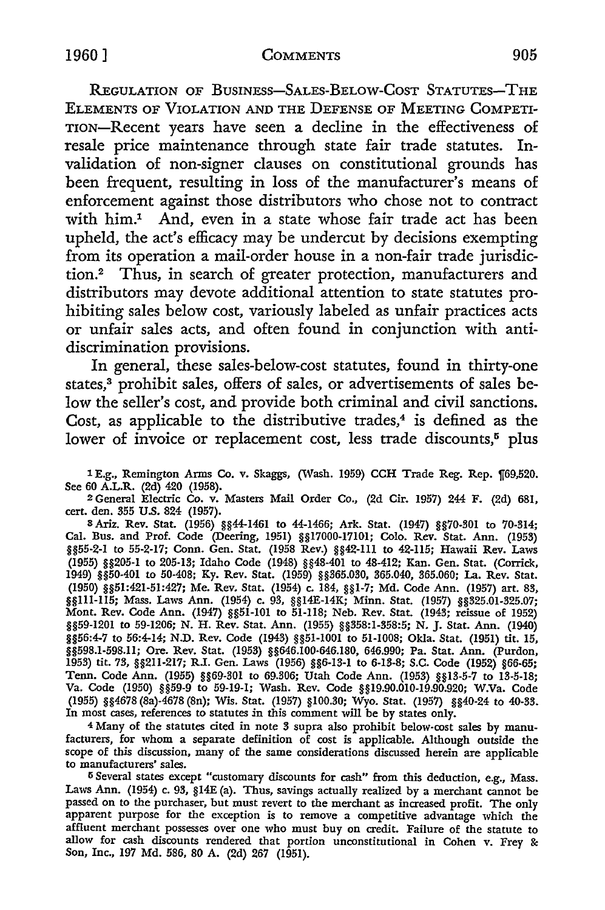REGULATION OF BUSINESS-SALES-BELOW-COST STATUTES-THE ELEMENTS OF VIOLATION AND THE DEFENSE OF MEETING COMPETI-TION-Recent years have seen a decline in the effectiveness of resale price maintenance through state fair trade statutes. Invalidation of non-signer clauses on constitutional grounds has been frequent, resulting in loss of the manufacturer's means of enforcement against those distributors who chose not to contract with him.<sup>1</sup> And, even in a state whose fair trade act has been upheld, the act's efficacy may be undercut by decisions exempting from its operation a mail-order house in a non-fair trade jurisdiction.2 Thus, in search of greater protection, manufacturers and distributors may devote additional attention to state statutes prohibiting sales below cost, variously labeled as unfair practices acts or unfair sales acts, and often found in conjunction with antidiscrimination provisions.

In general, these sales-below-cost statutes, found in thirty-one states.<sup>3</sup> prohibit sales, offers of sales, or advertisements of sales below the seller's cost, and provide both criminal and civil sanctions. Cost, as applicable to the distributive trades, $4$  is defined as the lower of invoice or replacement cost, less trade discounts,<sup>5</sup> plus

1 E.g., Remington Arms Co. v. Skaggs, (Wash. 1959) CCH Trade Reg. Rep. 169,520. See 60 A.L.R. (2d) 420 (1958).

2 General Electric Co. v. Masters Mail Order Co., (2d Cir. 1957) 244 F. (2d) 681, cert. den. 355 U.S. 824 (1957).

8 Ariz. Rev. Stat. (1956) §§44-1461 to 44-1466; Ark. Stat. (1947) §§70-301 *to* 70-314; Cal. Bus. and Prof. Code (Deering, 1951) §§17000-17101; Colo. Rev. Stat. Ann. (1953) §§55-2-1 *to* 55-2-17; Conn. Gen. Stat. (1958 Rev.) §§42-111 to 42-115; Hawaii Rev. Laws (1955) §§205-1 to 205-13; Idaho Code (1948) §§48-401 to 48-412; Kan. Gen. Stat. (Corrick, 1949) §§50-401 to 50-408; Ky. Rev. Stat. (1959) §§365.030, 365.040, 365.060; La. Rev. Stat. (1950) §§51:421-51:427; Me. Rev. Stat. (1954) c. 184, §§1-7; Md. Code Ann. (1957) art. 83, §§111-115; Mass. Laws Ann. (1954) c. 93, §§14E-14K; Minn. Stat. (1957) §§325.01-325.07; Mont. Rev. Code Ann. (1947) §§51-101 to 51-118; Neb. Rev. Stat. (1943; reissue of 1952) §§59-1201 *to* 59-1206; N. H. Rev. Stat. Ann. (1955) §§358:1-358:5; N. J. Stat. Ann. (1940) §§56:4-7 to 56:4-14; N.D. Rev. Code (1943) §§51-1001 to 51-1008; Okla. Stat. (1951) tit. 15, §§598.1-598.11; Ore. Rev. Stat. (1953) §§646.100-646.180, 646.990; Pa. Stat. Ann. (Purdon, 1953) tit. 73, §§211-217; R.I. Gen. Laws (1956) §§6-13-1 to 6-13-8; S.C. Code (1952) §66-65; Tenn. Code Ann. (1955) §§69-301 to 69.306; Utah Code Ann. (1953) §§13-5-7 to 13-5-18; Va. Code (1950) §§59-9 to 59-19-1; Wash. Rev. Code §§19.90.010-19.90.920; W.Va. Code (1955) §§4678 (Ba)-4678 (Sn); Wis. Stat. (1957) §100.30; Wyo. Stat. (1957) §§40-24 to 40-33. In most cases, references to statutes in this comment will be by states only.

4 Many of the statutes cited in note 3 supra also prohibit below-cost sales by manufacturers, for whom a separate definition of cost is applicable. Although outside the scope of this discussion, many of the same considerations discussed herein are applicable to manufacturers' sales.

5 Several states except "customary discounts for cash" from this deduction, e.g., Mass. Laws Ann. (1954) c. 93, §14E (a). Thus, savings actually realized by a merchant cannot be passed on to the purchaser, but must revert to the merchant as increased profit. The only apparent purpose for the exception is to remove a competitive advantage which the affluent merchant possesses over one who must buy on credit. Failure of the statute to allow for cash discounts rendered that portion unconstitutional in Cohen v. Frey & Son, Inc., 197 Md. 586, 80 A. (2d) 267 (1951).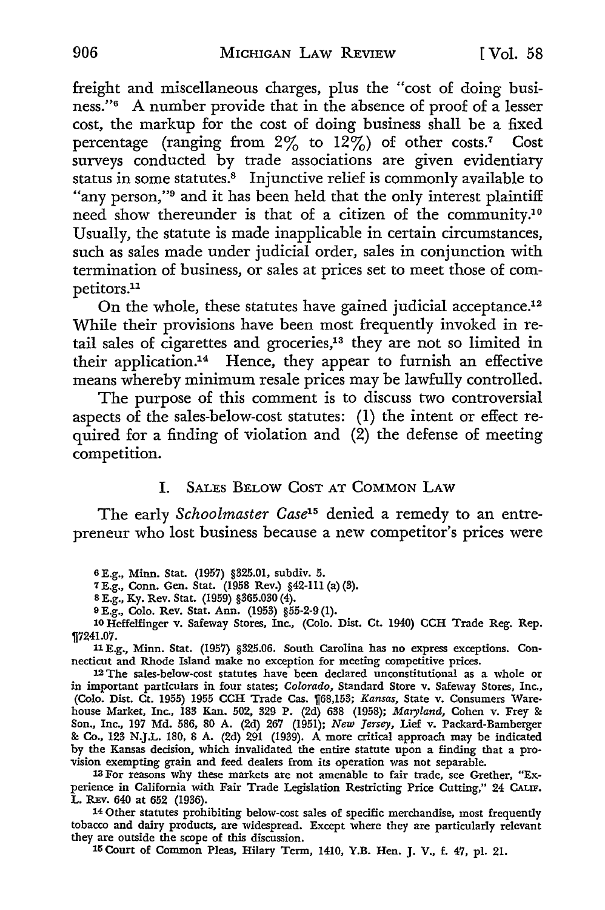freight and miscellaneous charges, plus the "cost of doing business."6 A number provide that in the absence of proof of a lesser cost, the markup for the cost of doing business shall be a fixed percentage (ranging from  $2\%$  to  $12\%$ ) of other costs.<sup>7</sup> Cost surveys conducted by trade associations are given evidentiary status in some statutes.<sup>8</sup> Injunctive relief is commonly available to "any person,"<sup>9</sup> and it has been held that the only interest plaintiff need show thereunder is that of a citizen of the community.<sup>10</sup> Usually, the statute is made inapplicable in certain circumstances, such as sales made under judicial order, sales in conjunction with termination of business, or sales at prices set to meet those of competitors.11

On the whole, these statutes have gained judicial acceptance.12 While their provisions have been most frequently invoked in retail sales of cigarettes and groceries,13 they are not so limited in their application.<sup>14</sup> Hence, they appear to furnish an effective means whereby minimum resale prices may be lawfully controlled.

The purpose of this comment is to discuss two controversial aspects of the sales-below-cost statutes: (1) the intent or effect required for a finding of violation and  $(2)$  the defense of meeting competition.

#### I. SALES BELOW COST AT COMMON LAW

The early *Schoolmaster Case15* denied a remedy to an entrepreneur who lost business because a new competitor's prices were

6 E.g., Minn. Stat. (1957) §325.01, subdiv. 5.

7 E.g., Conn. Gen. Stat. (1958 Rev.) §42-111 (a) (3).

s E.g., Ky. Rev. Stat. (1959) §365.030 (4).

9 E.g., Colo. Rev. Stat. Ann. (1953) §55·2·9 (1).

10 Heffelfinger v. Safeway Stores, Inc., (Colo. Dist. Ct. 1940) CCH Trade Reg. Rep. 117241.07.

11 E.g., Minn. Stat. (1957) §325.06. South Carolina has no express exceptions. Connecticut and Rhode Island make no exception for meeting competitive prices.

<sup>12</sup>The sales-below•cost statutes have been declared unconstitutional as a whole or in important particulars in four states; Colorado, Standard Store v. Safeway Stores, Inc., (Colo. Dist. Ct. 1955) 1955 CCH Trade Cas. [68,153; *Kansas*, State v. Consumers Warehouse Market, Inc., 183 Kan. 502, 329 P. (2d) 638 (1958); *Maryland,* Cohen v. Frey & Son., Inc., 197 Md. 586, 80 A. (2d) 267 (1951); *New Jersey,* Lief v. Packard-Bamberger & Co., 123 N.J.L. 180, 8 A. (2d) 291 (1939). A more critical approach may be indicated by the Kansas decision, which invalidated the entire statute upon a finding that a provision exempting grain and feed dealers from its operation was not separable.

13 For reasons why these markets are not amenable to fair trade, see Grether, "Experience in California with Fair Trade Legislation Restricting Price Cutting," 24 CALIF. L. REv. 640 at 652 (1936).

14 Other statutes prohibiting below-cost sales of specific merchandise, most frequently tobacco and dairy products, are widespread. Except where they are particularly relevant they are outside the scope of this discussion.

15 Court of Common Pleas, Hilary Term, 1410, Y.B. Hen. J. V., f. 47, pl. 21.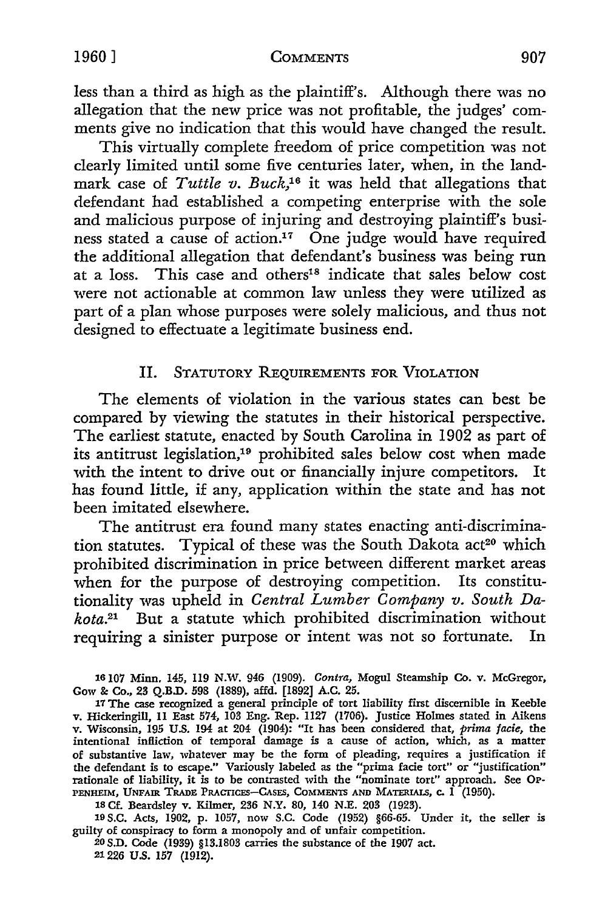less than a third as high as the plaintiff's. Although there was no allegation that the new price was not profitable, the judges' comments give no indication that this would have changed the result.

This virtually complete freedom of price competition was not clearly limited until some five centuries later, when, in the landmark case of *Tuttle v. Buck,16* it was held that allegations that defendant had established a competing enterprise with the sole and malicious purpose of injuring and destroying plaintiff's business stated a cause of action.<sup>17</sup> One judge would have required the additional allegation that defendant's business was being run at a loss. This case and others<sup>18</sup> indicate that sales below cost were not actionable at common law unless they were utilized as part of a plan whose purposes were solely malicious, and thus not designed to effectuate a legitimate business end.

## II. STATUTORY REQUIREMENTS FOR VIOLATION

The elements of violation in the various states can best be compared by viewing the statutes in their historical perspective. The earliest statute, enacted by South Carolina in 1902 as part of its antitrust legislation,19 prohibited sales below cost when made with the intent to drive out or financially injure competitors. It has found little, if any, application within the state and has not been imitated elsewhere.

The antitrust era found many states enacting anti-discrimination statutes. Typical of these was the South Dakota act<sup>20</sup> which prohibited discrimination in price between different market areas when for the purpose of destroying competition. Its constitutionality was upheld in *Central Lumber Company v. South Dakota.21* But a statute which prohibited discrimination without requiring a sinister purpose or intent was not so fortunate. In

16107 Minn. 145, 119 N.W. 946 (1909). *Contra,* Mogul Steamship Co. v. McGregor, Gow &: Co., 23 Q.B.D. 598 (1889), affd. [1892] A.C. 25.

17 The case recognized a general principle of tort liability first discernible in Keeble v. Hickeringill, 11 East 574, 103 Eng. Rep. 1127 (1706). Justice Holmes stated in Aikens v. Wisconsin, 195 U.S. 194 at 204- (1904): "It has been considered that, *prima facie,* the intentional infliction of temporal damage is a cause of action, which, as a matter of substantive law, whatever may be the form of pleading, requires a justification if the defendant is to escape." Variously labeled as the "prima facie tort" or "justification" rationale of liability, it is to be contrasted with the "nominate tort" approach. See OP-PENHEIM, UNFAIR TRADE PRACTICES-CASES, COMMENTS AND MATERIALS, c. 1 (1950).

18 Cf. Beardsley v. Kilmer, 236 N.Y. 80, 140 N.E. 203 (1923).

19 S.C. Acts, 1902, p. 1057, now S.C. Code (1952) §66-65. Under it, the seller is guilty of conspiracy to form a monopoly and of unfair competition.

20 S.D. Code (1939) §13.1803 carries the substance of the 1907 act. 21226 U.S. 157 (1912).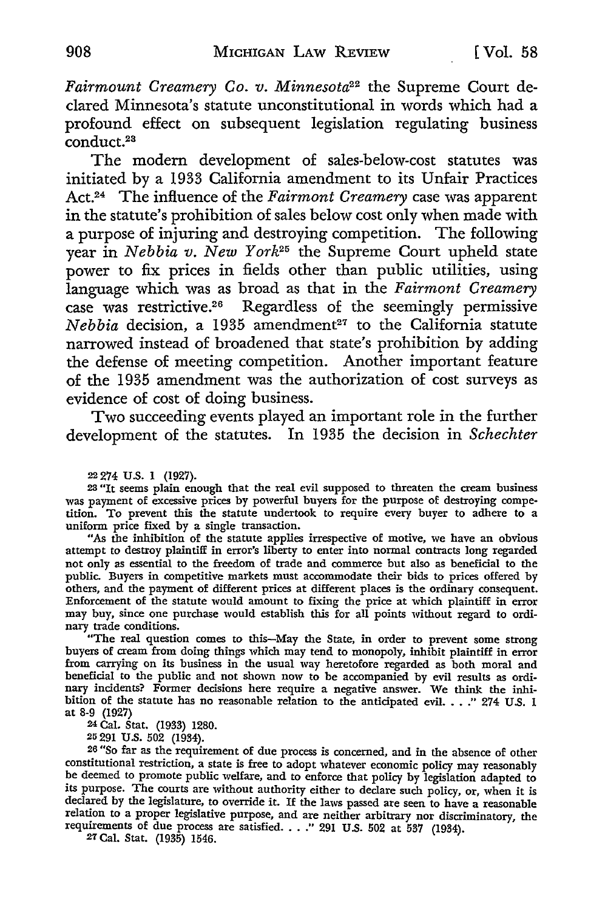*Fairmount Creamery Co. v. Minnesota22* the Supreme Court declared Minnesota's statute unconstitutional in words which had a profound effect on subsequent legislation regulating business conduct.23

The modern development of sales-below-cost statutes was initiated by a 1933 California amendment to its Unfair Practices Act.24 The influence of the *Fairmont Creamery* case was apparent in the statute's prohibition of sales below cost only when made with a purpose of injuring and destroying competition. The following year in *Nebbia v. New York25* the Supreme Court upheld state power to fix prices in fields other than public utilities, using language which was as broad as that in the *Fairmont Creamery*  case was restrictive.26 Regardless of the seemingly permissive *Nebbia* decision, a 1935 amendment<sup>27</sup> to the California statute narrowed instead of broadened that state's prohibition by adding the defense of meeting competition. Another important feature of the 1935 amendment was the authorization of cost surveys as evidence of cost of doing business.

Two succeeding events played an important role in the further development of the statutes. In 1935 the decision in *Schechter* 

22 274 U.S. 1 (1927).

<sup>23</sup>"It seems plain enough that the real evil supposed to threaten the cream business was payment of excessive prices by powerful buyers for the purpose of destroying competition. To prevent this the statute undertook to require every buyer to adhere to a uniform price fixed by a single transaction.

"As the inhibition of the statute applies irrespective of motive, we have an obvious attempt to destroy plaintiff in error's liberty to enter into normal contracts long regarded not only as essential to the freedom of trade and commerce but also as beneficial to the public. Buyers in competitive markets must accommodate their bids to prices offered by others, and the payment of different prices at different places is the ordinary consequent. Enforcement of the statute would amount to fixing the price at which plaintiff in error may buy, since one purchase would establish this for all points without regard to ordinary trade conditions.

"The real question comes to this-May the State, in order to prevent some strong buyers of cream from doing things which may tend to monopoly, inhibit plaintiff in error from carrying on its business in the usual way heretofore regarded as both moral and beneficial to the public and not shown now to be accompanied by evil results as ordinary incidents? Former decisions here require a negative answer. We think the inhibition of the statute has no reasonable relation to the anticipated evil. . . . " 274 U.S. 1 at 8-9 (1927)

24 Cal. Stat. (1933) 1280.

25 291 U.S. 502 (1934).

<sup>26</sup> "So far as the requirement of due process is concerned, and in the absence of other constitutional restriction, a state is free to adopt whatever economic policy may reasonably be deemed to promote public welfare, and to enforce that policy by legislation adapted to its purpose. The courts are without authority either to declare such policy, or, when it is declared by the legislature, to override it. If the laws passed are seen to have a reasonable relation to a proper legislative purpose, and are neither arbitrary nor discriminatory, the requirements of due process are satisfied ..•• " 291 U.S. 502 at 537 (1934).

27 Cal. Stat. (1935) 1546.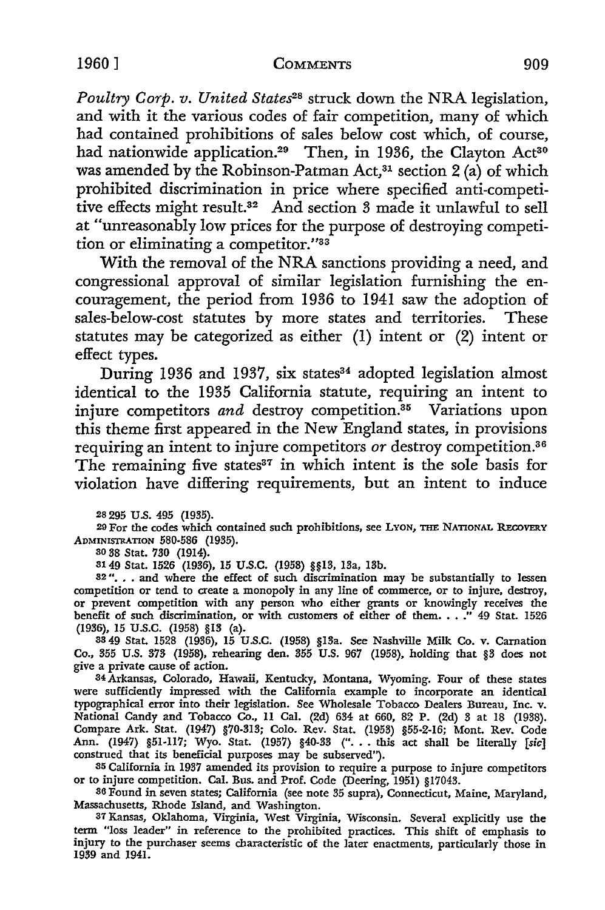*Poultry Corp. v. United States2*8 struck down the NRA legislation, and with it the various codes of fair competition, many of which had contained prohibitions of sales below cost which, of course, had nationwide application.<sup>29</sup> Then, in 1936, the Clayton Act<sup>30</sup> was amended by the Robinson-Patman Act,<sup>31</sup> section 2 (a) of which prohibited discrimination in price where specified anti-competitive effects might result.32 And section 3 made it unlawful to sell at "unreasonably low prices for the purpose of destroying competition or eliminating a competitor."33

With the removal of the NRA sanctions providing a need, and congressional approval of similar legislation furnishing the encouragement, the period from 1936 to 1941 saw the adoption of sales-below-cost statutes by more states and territories. These statutes may be categorized as either (I) intent or (2) intent or effect types.

During 1936 and 1937, six states<sup>34</sup> adopted legislation almost identical to the 1935 California statute, requiring an intent to injure competitors *and* destroy competition.<sup>35</sup> Variations upon this theme first appeared in the New England states, in provisions requiring an intent to injure competitors *or* destroy competition.36 The remaining five states $37$  in which intent is the sole basis for violation have differing requirements, but an intent to induce

28 295 U.S. 495 (1935).

29 For the codes which contained such prohibitions, see LYON, THE NATIONAL RECOVERY ADMINISTRATION 580-586 (1935).

30 38 Stat. 730 (1914).

3149 Stat. 1526 (1936), 15 U.S.C. (1958) §§13, 13a, 13b. 32 " .•. and where the effect of such discrimination may be substantially to lessen competition or tend to create a monopoly in any line of commerce, or to injure, destroy, or prevent competition with any person who either grants or knowingly receives the benefit of such discrimination, or with customers of either of them .•• .'' 49 Stat. 1526 (1936), 15 U.S.C. (1958) §13 (a).

33 49 Stat. 1528 (1936), 15 U.S.C. (1958) §13a. See Nashville Milk Co. v. Carnation Co., 355 U.S. 373 (1958), rehearing den. 355 U.S. 967 (1958), holding that §3 does not give a private cause of action.

34 Arkansas, Colorado, Hawaii, Kentucky, Montana, Wyoming. Four of these states were sufficiently impressed with the California example to incorporate an identical typographical error into their legislation. See Wholesale Tobacco Dealers Bureau, Inc. v. National Candy and Tobacco Co., II Cal. (2d) 634 at 660, 82 P. (2d) 3 at 18 (1938). Compare Ark. Stat. (1947) §70-313; Colo. Rev. Stat. (1953) §55-2-16; Mont. Rev. Code Ann. (1947) §51-II7; Wyo. Stat. (1957) §40-33 (" .•. this act shall be literally *[sic]*  construed that its beneficial purposes may be subserved").

35 California in 1937 amended its provision to require a purpose to injure competitors or to injure competition. Cal. Bus. and Prof. Code (Deering, 1951) §17043.

36 Found in seven states; California (see note 35 supra), Connecticut, Maine, Maryland, Massachusetts, Rhode Island, and Washington.

37 Kansas, Oklahoma, Virginia, West Virginia, Wisconsin. Several explicitly use the term "loss leader" in reference to the prohibited practices. This shift of emphasis to injury to the purchaser seems characteristic of the later enactments, particularly those in 1939 and 1941.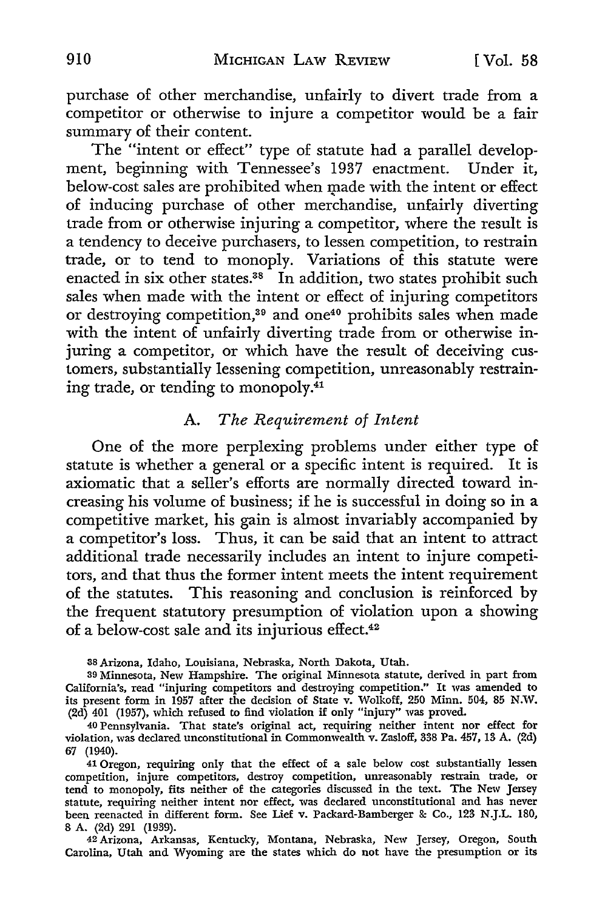purchase of other merchandise, unfairly to divert trade from a competitor or otherwise to injure a competitor would be a fair summary of their content.

The "intent or effect" type of statute had a parallel development, beginning with Tennessee's 1937 enactment. Under it, below-cost sales are prohibited when made with the intent or effect of inducing purchase of other merchandise, unfairly diverting trade from or otherwise injuring a competitor, where the result is a tendency to deceive purchasers, to lessen competition, to restrain trade, or to tend to monoply. Variations of this statute were enacted in six other states.<sup>38</sup> In addition, two states prohibit such sales when made with the intent or effect of injuring competitors or destroying competition,39 and one40 prohibits sales when made with the intent of unfairly diverting trade from or otherwise injuring a competitor, or which have the result of deceiving customers, substantially lessening competition, unreasonably restraining trade, or tending to monopoly.<sup>41</sup>

### A. *The Requirement of Intent*

One of the more perplexing problems under either type of statute is whether a general or a specific intent is required. It is axiomatic that a seller's efforts are normally directed toward increasing his volume of business; if he is successful in doing so in a competitive market, his gain is almost invariably accompanied by a competitor's loss. Thus, it can be said that an intent to attract additional trade necessarily includes an intent to injure competitors, and that thus the former intent meets the intent requirement of the statutes. This reasoning and conclusion is reinforced by the frequent statutory presumption of violation upon a showing of a below-cost sale and its injurious effect.<sup>42</sup>

38 Arizona, Idaho, Louisiana, Nebraska, North Dakota, Utah.

39 Minnesota, New Hampshire. The original Minnesota statute, derived in part from California's, read "injuring competitors and destroying competition." It was amended to its present form in 1957 after the decision of State v. Wolkoff, 250 Minn. 504, 85 N.W. (2d) 401 (1957), which refused to find violation if only "injury" was proved.

41 Oregon, requiring only that the effect of a sale below cost substantially lessen competition, injure competitors, destroy competition, unreasonably restrain trade, or tend to monopoly, fits neither of the categories discussed in the text. The New Jersey statute, requiring neither intent nor effect, was declared unconstitutional and has never been reenacted in different form. See Lief v. Packard-Bamberger & Co., 123 N.J.L. 180, 8 A. (2d) 291 (1939).

42 Arizona, Arkansas, Kentucky, Montana, Nebraska, New Jersey, Oregon, South Carolina, Utah and Wyoming are the states which do not have the presumption or its

<sup>40</sup> Pennsylvania. That state's original act, requiring neither intent nor effect for violation, was declared unconstitutional in Commonwealth v. Zasloff, 338 Pa. 457, 13 A. (2d) 67 (1940).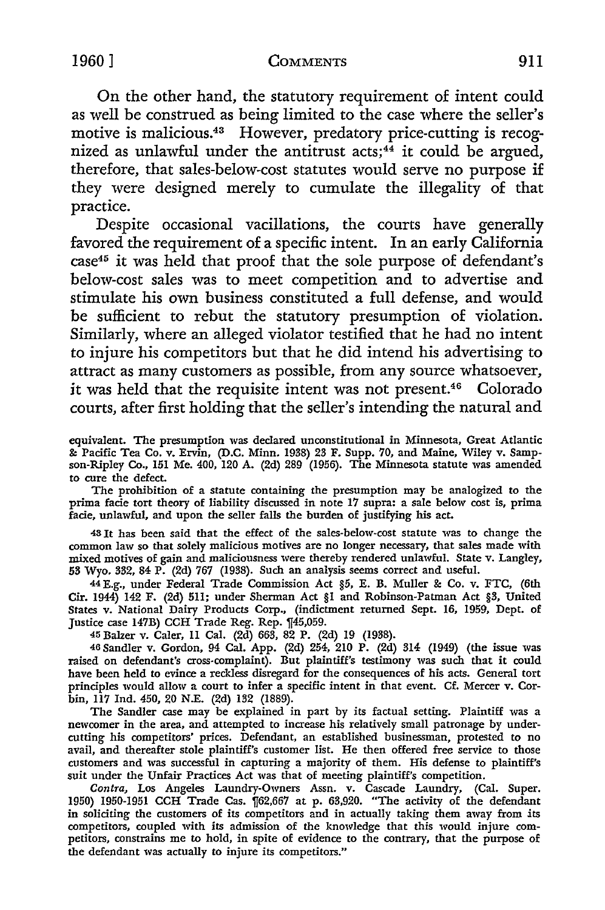On the other hand, the statutory requirement of intent could as well be construed as being limited to the case where the seller's motive is malicious.43 However, predatory price-cutting is recognized as unlawful under the antitrust  $acts; 44$  it could be argued, therefore, that sales-below-cost statutes would serve no purpose if they were designed merely to cumulate the illegality of that practice.

Despite occasional vacillations, the courts have generally favored the requirement of a specific intent. In an early California case45 it was held that proof that the sole purpose of defendant's below-cost sales was to meet competition and to advertise and stimulate his own business constituted a full defense, and would be sufficient to rebut the statutory presumption of violation. Similarly, where an alleged violator testified that he had no intent to injure his competitors but that he did intend his advertising to attract as many customers as possible, from any source whatsoever, it was held that the requisite intent was not present.46 Colorado courts, after first holding that the seller's intending the natural and

equivalent. The presumption was declared unconstitutional in Minnesota, Great Atlantic &: Pacific Tea Co. v. Ervin, (D.C. Minn. 1938) 23 F. Supp. 70, and Maine, Wiley v. Sampson-Ripley Co., 151 Me. 400, 120 A. (2d) 289 (1956). The Minnesota statute was amended to cure the defect.

The prohibition of a statute containing the presumption may be analogized to the prima facie tort theory of liability discussed in note 17 supra: a sale below cost is, prima facie, unlawful, and upon the seller falls the burden of justifying his act.

<sup>43</sup>It has been said that the effect of the sales-below-cost statute was to change the common law so that solely malicious motives are no longer necessary, that sales made with mixed motives of gain and maliciousness were thereby rendered unlawful. State v. Langley, 53 Wyo. 332, 84 P. (2d) 767 (1938). Such an analysis seems correct and useful.

44 E.g., under Federal Trade Commission Act §5, E. B. Muller *8e* Co. v. FTC, (6th Cir. 1944) 142 F. (2d) 511; under Sherman Act §I and Robinson-Patman Act §3, United States v. National Dairy Products Corp., (indictment returned Sept. 16, 1959, Dept. of Justice case 147B) CCH Trade Reg. Rep. 145,059.

45 Balzer v. Caler, 11 Cal. (2d) 663, 82 P. (2d) 19 (1938).

46 Sandler v. Gordon, 94 Cal. App. (2d) 254, 210 P. (2d) 314 (1949) (the issue was raised on defendant's cross-complaint). But plaintiff's testimony was such that it could have been held to evince a reckless disregard for the consequences of his acts. General tort principles would allow a court to infer a specific intent in that event. Cf. Mercer v. Corbin, 117 Ind. 450, 20 N.E. (2d) 132 (1889).

The Sandler case may be explained in part by its factual setting. Plaintiff was a newcomer in the area, and attempted to increase his relatively small patronage by undercutting his competitors' prices. Defendant, an established businessman, protested to no avail, and thereafter stole plaintiff's customer list. He then offered free service to those customers and was successful in capturing a majority of them. His defense to plaintiff's suit under the Unfair Practices Act was that of meeting plaintiff's competition.

*Contra,* Los Angeles Laundry-Owners Assn. v. Cascade Laundry, (Cal. Super. 1950) 1950-1951 CCH Trade Cas. 1f62,667 at p. 63,920. "The activity of the defendant in soliciting the customers of its competitors and in actually taking them away from *its*  competitors, coupled with its admission of the knowledge that this would injure competitors, constrains me to hold, in spite of evidence to the contrary, that the purpose of the defendant was actually to injure its competitors."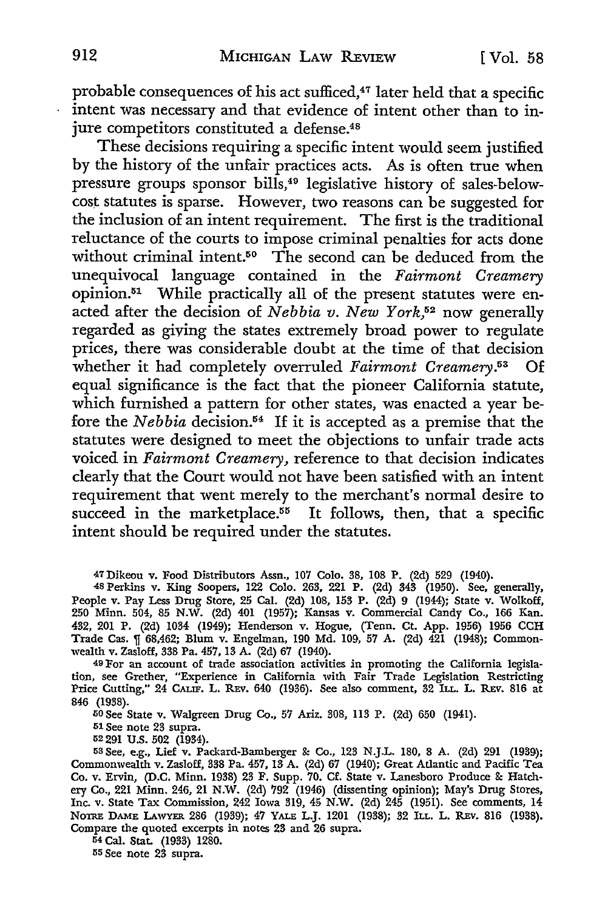probable consequences of his act sufficed,<sup>47</sup> later held that a specific intent was necessary and that evidence of intent other than to injure competitors constituted a defense.<sup>48</sup>

These decisions requiring a specific intent would seem justified by the history of the unfair practices acts. As is often true when pressure groups sponsor bills, 49 legislative history of sales-belowcost statutes is sparse. However, two reasons can be suggested for the inclusion of an intent requirement. The first is the traditional reluctance of the courts to impose criminal penalties for acts done without criminal intent.<sup>50</sup> The second can be deduced from the unequivocal language contained in the *Fairmont Creamery*  opinion.51 While practically all of the present statutes were enacted after the decision of *Nebbia v. New York,52* now generally regarded as giving the states extremely broad power to regulate prices, there was considerable doubt at the time of that decision whether it had completely overruled *Fairmont Creamery.53* Of equal significance is the fact that the pioneer California statute, which furnished a pattern for other states, was enacted a year before the *Nebbia* decision.54 If it is accepted as a premise that the statutes were designed to meet the objections to unfair trade acts voiced in *Fairmont Creamery,* reference to that decision indicates clearly that the Court would not have been satisfied with an intent requirement that went merely to the merchant's normal desire to succeed in the marketplace.<sup>55</sup> It follows, then, that a specific intent should be required under the statutes.

47Dikeou v. Food Distributors Assn., 107 Colo. 38, 108 P. (2d) 529 (1940).

48 Perkins v. King Soopers, 122 Colo. 263, 221 P. (2d) 343 (1950). See, generally, People v. Pay Less Drug Store, 25 Cal. (2d) 108, 153 P. (2d) 9 (1944); State v. Wolkoff, 250 Minn. 504, 85 N.W. (2d) 401 (1957); Kansas v. Commercial Candy Co., 166 Kan. 432, 201 P. (2d) 1034 (1949); Henderson v. Hogue, (Tenn. Ct. App. 1956) 1956 CCH Trade Cas. n 68,462; Blum v. Engelman, 190 Md. 109, 57 A. (2d) 421 (1948); Commonwealth v. Zasloff, 338 Pa. 457, 13 A. (2d} 67 (1940).

49 For an account of trade association activities in promoting the California legislation, see Grether, "Experience in California with Fair Trade Legislation Restricting Price Cutting," 24 CALIF. L. REv. 640 (1936). See also comment, 32 ILL. L. REv. 816 at 846 (1938).

oO See State v. Walgreen Drug Co., 57 Ariz. 308, II3 P. (2d} 650 (1941).

51 See note 23 supra.

52 291 U.S. 502 (1934).

53 See, e.g., Lief v. Packard-Bamberger 8: Co., 123 N.J.L. 180, 8 A. (2d) 291 (1939); Commonwealth v. Zasloff, 338 Pa. 457, 13 A. (2d) 67 (1940); Great Atlantic and Pacific Tea Co. v. Ervin, (D.C. Minn. 1938) 23 F. Supp. 70. Cf. State v. Lanesboro Produce 8: Hatchery Co., 221 Minn. 246, 21 N.W. (2d) 792 (1946) (dissenting opinion}; May's Drug Stores, Inc. v. State Tax Commission, 242 Iowa 319, 45 N.W. (2d} 245 (1951). See comments, 14 NOTRE DAME LAWYER 286 (1939); 47 YALE L.J. 1201 (1938); 32 ILL. L. REv. 816 (1938}, Compare the quoted excerpts in notes 23 and 26 supra.

54 Cal. Stat. (1933) 1280.

55 See note 23 supra.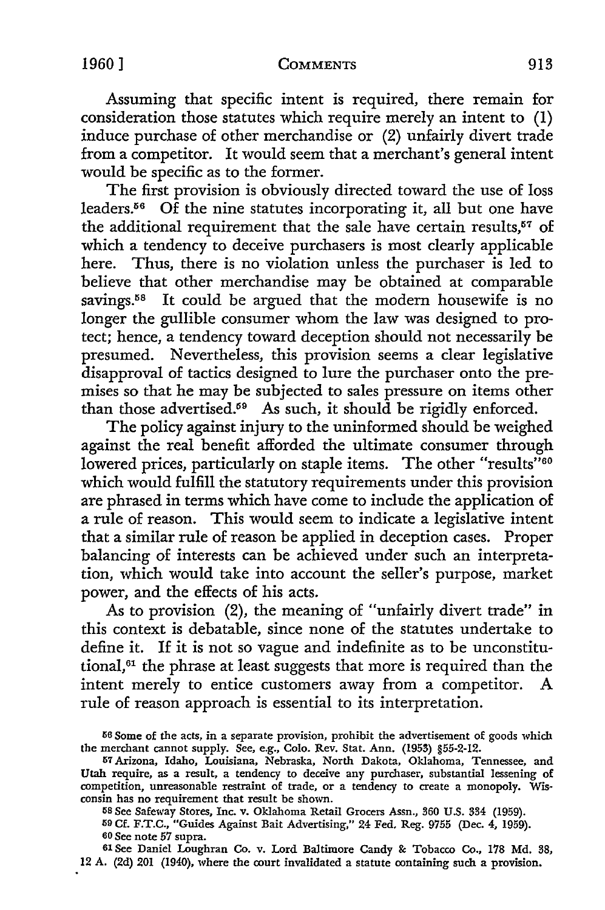Assuming that specific intent is required, there remain for consideration those statutes which require merely an intent to (1) induce purchase of other merchandise or (2) unfairly divert trade from a competitor. It would seem that a merchant's general intent would be specific as to the former.

The first provision is obviously directed toward the use of loss leaders.<sup>56</sup> Of the nine statutes incorporating it, all but one have the additional requirement that the sale have certain results, $57$  of which a tendency to deceive purchasers is most clearly applicable here. Thus, there is no violation unless the purchaser is led to believe that other merchandise may be obtained at comparable savings.<sup>58</sup> It could be argued that the modern housewife is no longer the gullible consumer whom the law was designed to protect; hence, a tendency toward deception should not necessarily be presumed. Nevertheless, this provision seems a clear legislative disapproval of tactics designed to lure the purchaser onto the premises so that he may be subjected to sales pressure on items other than those advertised.<sup>59</sup> As such, it should be rigidly enforced.

The policy against injury to the uninformed should be weighed against the real benefit afforded the ultimate consumer through lowered prices, particularly on staple items. The other "results"<sup>60</sup> which would fulfill the statutory requirements under this provision are phrased in terms which have come to include the application of a rule of reason. This would seem to indicate a legislative intent that a similar rule of reason be applied in deception cases. Proper balancing of interests can be achieved under such an interpretation, which would take into account the seller's purpose, market power, and the effects of his acts.

As to provision (2), the meaning of "unfairly divert trade" in this context is debatable, since none of the statutes undertake to define it. If it is not so vague and indefinite as to be unconstitutional, 61 the phrase at least suggests that more is required than the intent merely to entice customers away from a competitor. A rule of reason approach is essential to its interpretation.

58 See Safeway Stores, Inc. v. Oklahoma Retail Grocers Assn., 360 U.S. 334 (1959). 59 Cf. F.T.C., "Guides Against Bait Advertising," 24 Fed. Reg. 9755 (Dec. 4, 1959). 60 See note *57* supra.

61 See Daniel Loughran Co. v. Lord Baltimore Candy *8c* Tobacco Co., 178 Md. 38, 12 A. (2d) 201 (1940), where the court invalidated a statute containing such a provision.

<sup>&</sup>lt;sup>56</sup> Some of the acts, in a separate provision, prohibit the advertisement of goods which the merchant cannot supply. See, e.g., Colo. Rev. Stat. Ann. (1953) §55-2-12.

IS7 Arizona, Idaho, Louisiana, Nebraska, North Dakota, Oklahoma, Tennessee, and Utah require, as a result, a tendency to deceive any purchaser, substantial lessening of competition, unreasonable restraint of trade, or a tendency to create a monopoly. Wisconsin has no requirement that result be shown.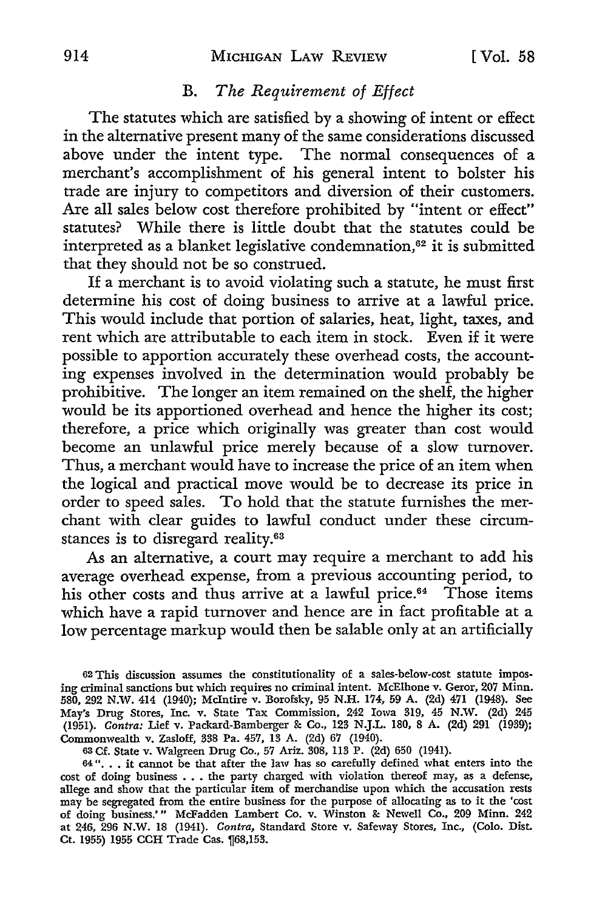## B. *The Requirement of Effect*

The statutes which are satisfied by a showing of intent or effect in the alternative present many of the same considerations discussed above under the intent type. The normal consequences of a merchant's accomplishment of his general intent to bolster his trade are injury to competitors and diversion of their customers. Are all sales below cost therefore prohibited by "intent or effect" statutes? While there is little doubt that the statutes could be interpreted as a blanket legislative condemnation,<sup>62</sup> it is submitted that they should not be so construed.

If a merchant is to avoid violating such a statute, he must first determine his cost of doing business to arrive at a lawful price. This would include that portion of salaries, heat, light, taxes, and rent which are attributable to each item in stock. Even if it were possible to apportion accurately these overhead costs, the accounting expenses involved in the determination would probably be prohibitive. The longer an item remained on the shelf, the higher would be its apportioned overhead and hence the higher its cost; therefore, a price which originally was greater than cost would become an unlawful price merely because of a slow turnover. Thus, a merchant would have to increase the price of an item when the logical and practical move would be to decrease its price in order to speed sales. To hold that the statute furnishes the merchant with clear guides to lawful conduct under these circumstances is to disregard reality.<sup>63</sup>

As an alternative, a court may require a merchant to add his average overhead expense, from a previous accounting period, to his other costs and thus arrive at a lawful price.<sup>64</sup> Those items which have a rapid turnover and hence are in fact profitable at a low percentage markup would then be salable only at an artificially

<sup>62</sup> This discussion assumes the constitutionality of a sales-below-cost statute imposing criminal sanctions but which requires no criminal intent. McElhone v. Geror, 207 Minn. 580, 292 N.W. 414 (1940); Mcintire v. Borofsky, 95 N.H. 174, 59 A. (2d) 471 (1948). See May's Drug Stores, Inc. v. State Tax Commission, 242 Iowa 319, 45 N.W. (2d) 245 (1951). *Contra:* Lief v. Packard-Bamberger & Co., 123 N.J.L. 180, 8 A. (2d) 291 (1939); Commonwealth v. Zasloff, 338 Pa. 457, 13 A. (2d) 67 (1940).

<sup>63</sup> Cf. State v. Walgreen Drug Co., 57 Ariz. 308, 113 P. (2d) 650 (1941).

<sup>64&</sup>quot;... it cannot be that after the law has so carefully defined what enters into the of doing business ... the party charged with violation thereof may, as a defense, allege and show that the particular item of merchandise upon which the accusation rests may be segregated from the entire business for the purpose of allocating as to it the 'cost of doing business.'" McFadden Lambert Co. v. Winston & Newell Co., 209 Minn. 242 at 246, 296 N.W. 18 (1941). *Contra,* Standard Store v. Safeway Stores, Inc., (Colo. Dist. Ct. 1955) 1955 CCH Trade Cas. [68,153.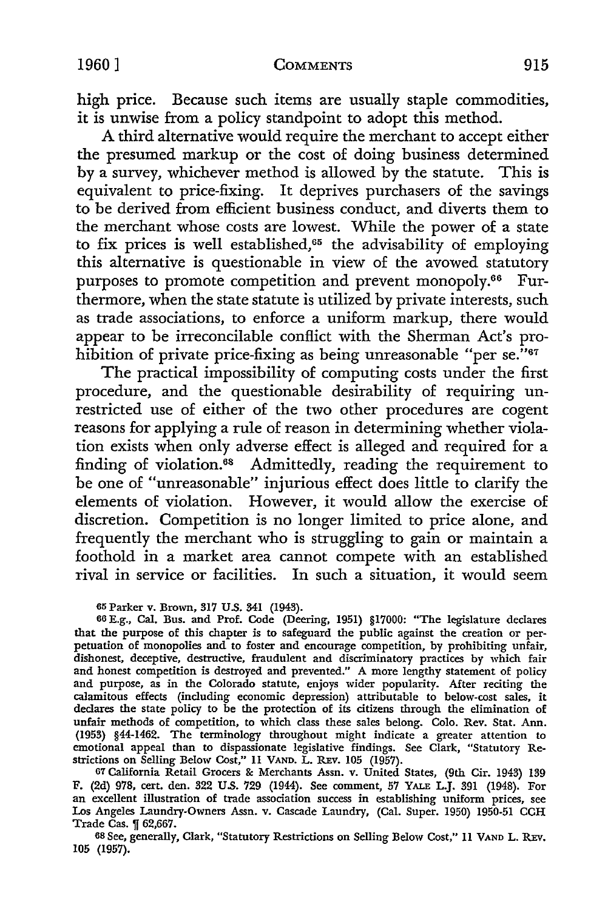high price. Because such items are usually staple commodities, it is unwise from a policy standpoint to adopt this method.

A third alternative would require the merchant to accept either the presumed markup or the cost of doing business determined by a survey, whichever method is allowed by the statute. This is equivalent to price-fixing. It deprives purchasers of the savings to be derived from efficient business conduct, and diverts them to the merchant whose costs are lowest. While the power of a state to fix prices is well established,<sup> $65$ </sup> the advisability of employing this alternative is questionable in view of the avowed statutory purposes to promote competition and prevent monopoly.<sup>66</sup> Furthermore, when the state statute is utilized by private interests, such as trade associations, to enforce a uniform markup, there would appear to be irreconcilable conflict with the Sherman Act's prohibition of private price-fixing as being unreasonable "per se.<sup>7167</sup>

The practical impossibility of computing costs under the first procedure, and the questionable desirability of requiring unrestricted use of either of the two other procedures are cogent reasons for applying a rule of reason in determining whether violation exists when only adverse effect is alleged and required for a finding of violation.<sup>68</sup> Admittedly, reading the requirement to be one of "unreasonable" injurious effect does little to clarify the elements of violation. However, it would allow the exercise of discretion. Competition is no longer limited to price alone, and frequently the merchant who is struggling to gain or maintain a foothold in a market area cannot compete with an established rival in service or facilities. In such a situation, it would seem

65 Parker v. Brown, 317 U.S. 341 (1943).

66 E.g., Cal. Bus. and Prof. Code (Deering, 1951) §17000: "The legislature declares that the purpose of this chapter is to safeguard the public against the creation or perpetuation of monopolies and to foster and encourage competition, by prohibiting unfair, dishonest, deceptive, destructive, fraudulent and discriminatory practices by which fair and honest competition is destroyed and prevented." A more lengthy statement of policy and purpose, as in the Colorado statute, enjoys wider popularity. After reciting the calamitous effects (including economic depression) attributable to below-cost sales, it declares the state policy to be the protection of its citizens through the elimination of unfair methods of competition, to which class these sales belong. Colo. Rev. Stat. Ann. (1953) §44-1462. The terminology throughout might indicate a greater attention to emotional appeal than to dispassionate legislative findings. See Clark, "Statutory Restrictions on Selling Below Cost," 11 VAND. L. REv. 105 (1957).

67 California Retail Grocers &: Merchants Assn. v. United States, (9th Cir. 1943) 139 F. (2d) 978, cert. den. 322 U.S. 729 (1944). See comment, 57 YALE L.J. 391 (1948). For an excellent illustration of trade association success in establishing uniform prices, see Los Angeles Laundry-Owners Assn. v. Cascade Laundry, (Cal. Super. 1950) 1950-51 CCH Trade Cas.  $\sqrt{ }$  62,667.

68 See, generally, Clark, "Statutory Restrictions on Selling Below Cost," 11 VAND L. REv. 105 (1957).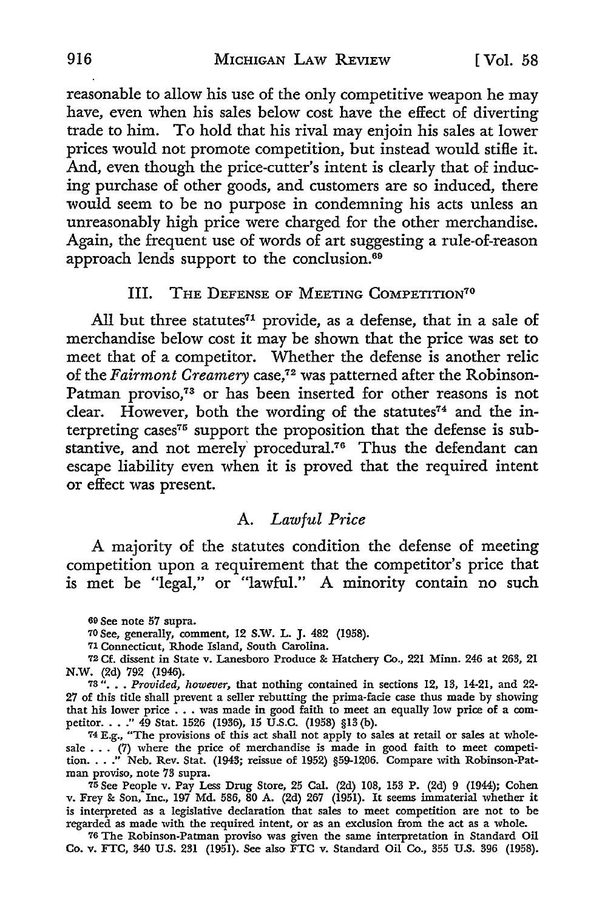reasonable to allow his use of the only competitive weapon he may have, even when his sales below cost have the effect of diverting trade to him. To hold that his rival may enjoin his sales at lower prices would not promote competition, but instead would stifle it. And, even though the price-cutter's intent is clearly that of inducing purchase of other goods, and customers are so induced, there would seem to be no purpose in condemning his acts unless an unreasonably high price were charged for the other merchandise. Again, the frequent use of words of art suggesting a rule-of-reason approach lends support to the conclusion.<sup>69</sup>

#### III. THE DEFENSE OF MEETING COMPETITION<sup>70</sup>

All but three statutes<sup> $71$ </sup> provide, as a defense, that in a sale of merchandise below cost it may be shown that the price was set to meet that of a competitor. Whether the defense is another relic of the *Fairmont Creamery* case,72 was patterned after the Robinson-Patman proviso,<sup>73</sup> or has been inserted for other reasons is not clear. However, both the wording of the statutes<sup> $74$ </sup> and the interpreting cases<sup>75</sup> support the proposition that the defense is substantive, and not merely' procedural.76 Thus the defendant can escape liability even when it is proved that the required intent or effect was present.

## A. *Lawful Price*

A majority of the statutes condition the defense of meeting competition upon a requirement that the competitor's price that is met be "legal," or "lawful." A minority contain no such

69 See note 57 supra.

<sup>70</sup>See, generally, comment, 12 **S.W.** L. J. 482 (1958).

71 Connecticut, Rhode Island, South Carolina.

72 Cf. dissent in State v. Lanesboro Produce & Hatchery Co., 221 Minn. 246 at 263, 21 N.W. (2d) 792 (1946).

73 " ••• *Provided, however,* that nothing contained in sections 12, 13, 14-21, and 22- 27 of this title shall prevent a seller rebutting the prima-facie case thus made by showing  $z_7$  of this title shall prevent a seller rebutting the prima-racie case thus made by showing that his lower price  $\ldots$  was made in good faith to meet an equally low price of a comthat his lower price ... was made in good raith to meet an equally low price or a com-<br>petitor...." 49 Stat. 1526 (1936), 15 U.S.C. (1958) §13 (b).<br> $74$  E.g., "The provisions of this act shall not apply to sales at retail

sale . . . (7) where the price of merchandise is made in good faith to meet competition. . . .'' Neb. Rev. Stat. (1943; reissue of 1952) §59-1206. Compare with Robinson-Patman proviso, note 73 supra.

75 See People v. Pay Less Drug Store, 25 Cal. (2d) 108, 153 P. (2d) 9 (1944); Cohen v. Frey & Son, Inc., 197 Md. 586, 80 A. (2d) 267 (1951). It seems immaterial whether it is interpreted as a legislative declaration that sales to meet competition are not to be regarded as made with the required intent, or as an exclusion from the act as a whole.

76 The Robinson-Patman proviso was given the same interpretation in Standard Oil Co. v. FTC, 340 U.S. 231 (1951). See also FTC v. Standard Oil Co., 355 U.S. 396 (1958).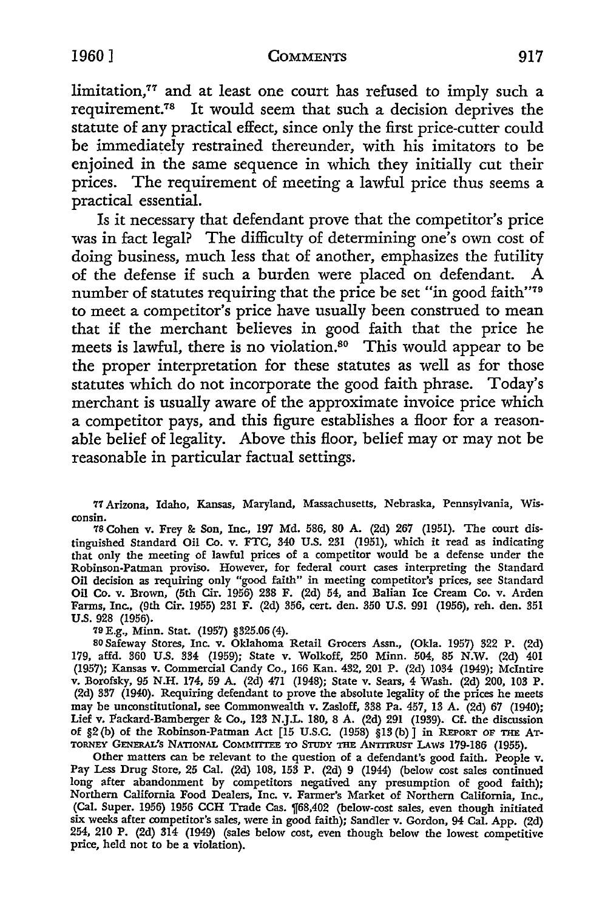limitation, $77$  and at least one court has refused to imply such a requirement.78 It would seem that such a decision deprives the statute of any practical effect, since only the first price-cutter could be immediately restrained thereunder, with his imitators to be enjoined in the same sequence in which they initially cut their prices. The requirement of meeting a lawful price thus seems a practical essential.

Is it necessary that defendant prove that the competitor's price was in fact legal? The difficulty of determining one's own cost of doing business, much less that of another, emphasizes the futility of the defense if such a burden were placed on defendant. A number of statutes requiring that the price be set "in good faith"<sup>79</sup> to meet a competitor's price have usually been construed to mean that if the merchant believes in good faith that the price he meets is lawful, there is no violation.<sup>80</sup> This would appear to be the proper interpretation for these statutes as well as for those statutes which do not incorporate the good faith phrase. Today's merchant is usually aware of the approximate invoice price which a competitor pays, and this figure establishes a floor for a reasonable belief of legality. Above this floor, belief may or may not be reasonable in particular factual settings.

77 Arizona, Idaho, Kansas, Maryland, Massachusetts, Nebraska, Pennsylvania, Wisconsin.

78 Cohen v. Frey &: Son, Inc., 197 Md. 586, 80 A. (2d) 267 (1951). The court distinguished Standard Oil Co. v. FTC, 340 U.S. 231 (1951), which it read as indicating that only the meeting of lawful prices of a competitor would be a defense under the Robinson-Patman proviso. However, for federal court cases interpreting the Standard Oil decision as requiring only "good faith" in meeting competitor's prices, see Standard Oil Co. v. Brown, (5th Cir. 1956) 238 F. (2d) 54, and Balian Ice Cream Co. v. Arden Farms, Inc., (9th Cir. 1955) 231 F. (2d) 356, cert. den. 350 U.S. 991 (1956), reh. den. 351 U.S. 928 (1956).

79 E.g., Minn. Stat. (1957) §325.06 (4).

so Safeway Stores, Inc. v. Oklahoma Retail Grocers Assn., (Okla. 1957) 322 P. (2d) 179, affd. 360 U.S. 334 (1959); State v. Wolkoff, 250 Minn. 504, 85 N.W. (2d) 401 (1957); Kansas v. Commercial Candy Co., 166 Kan. 432, 201 P. (2d) 1034 (1949); McIntire v. Borofsky, 95 N.H. 174, 59 A. (2d) 471 (1948); State v. Sears, 4 Wash. (2d) 200, 103 P. (2d) 337 (1940). Requiring defendant to prove the absolute legality of the prices he meets may be unconstitutional, see Commonwealth v. Zasloff, 338 Pa. 457, 13 A. (2d) 67 (1940); Lief v. Packard-Bamberger &: Co., 123 N.J.L. 180, 8 A. (2d) 291 (1939). Cf. the discussion of §2 {b) of the Robinson-Patman Act [15 U.S.C. (1958) §13 (b)] in REPORT OF THE AT· TORNEY GENERAL'S NATIONAL COMMIITEE TO STUDY THE ANTITRUsr LAws 179-186 (1955).

Other matters can be relevant to the question of a defendant's good faith. People v. Pay Less Drug Store, 25 Cal. (2d) 108, 153 P. (2d) 9 (1944) (below cost sales continued long after abandonment by competitors negatived any presumption of good faith); Northern California Food Dealers, Inc. v. Farmer's Market of Northern California, Inc., (Cal. Super. 1956) 1956 CCH Trade Cas. 1f68,402 (below-cost sales, even though initiated six weeks after competitor's sales, were in good faith); Sandler v. Gordon, 94 Cal. App. (2d) 254, 210 P. (2d) 314 (1949) (sales below cost, even though below the lowest competitive price, held not to be a violation).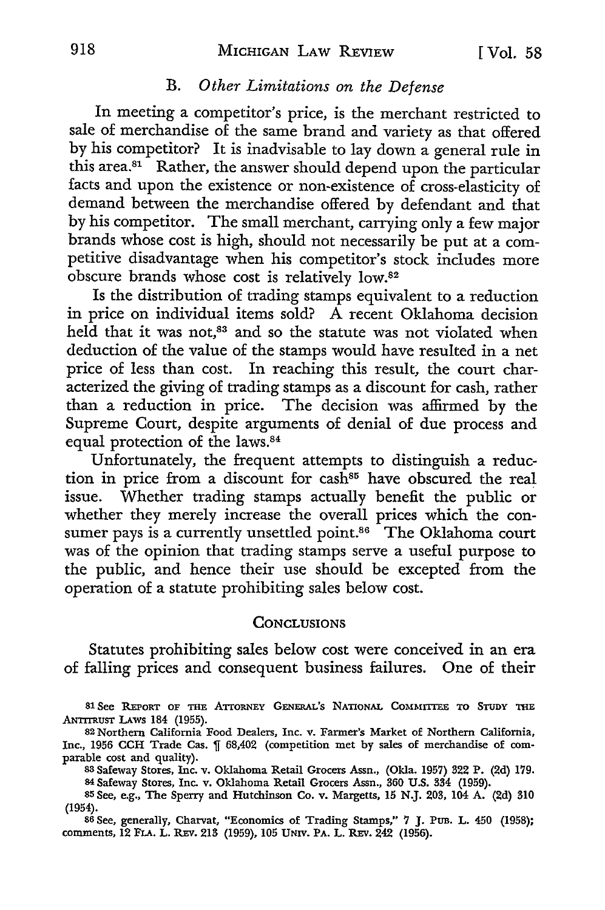## B. 0 *ther Limitations on the Defense*

In meeting a competitor's price, is the merchant restricted to sale of merchandise of the same brand and variety as that offered by his competitor? It is inadvisable to lay down a general rule in this area.<sup>81</sup> Rather, the answer should depend upon the particular facts and upon the existence or non-existence of cross-elasticity of demand between the merchandise offered by defendant and that by his competitor. The small merchant, carrying only a few major brands whose cost is high, should not necessarily be put at a competitive disadvantage when his competitor's stock includes more obscure brands whose cost is relatively low.<sup>82</sup>

Is the distribution of trading stamps equivalent to a reduction in price on individual items sold? A recent Oklahoma decision held that it was not,<sup>83</sup> and so the statute was not violated when deduction of the value of the stamps would have resulted in a net price of less than cost. In reaching this result, the court characterized the giving of trading stamps as a discount for cash, rather than a reduction in price. The decision was affirmed by the Supreme Court, despite arguments of denial of due process and equal protection of the laws.<sup>84</sup>

Unfortunately, the frequent attempts to distinguish a reduction in price from a discount for cash<sup>85</sup> have obscured the real issue. Whether trading stamps actually benefit the public or whether they merely increase the overall prices which the consumer pays is a currently unsettled point.<sup>86</sup> The Oklahoma court was of the opinion that trading stamps serve a useful purpose to the public, and hence their use should be excepted from the operation of a statute prohibiting sales below cost.

## **CONCLUSIONS**

Statutes prohibiting sales below cost were conceived in an era of falling prices and consequent business failures. One of their

<sup>83</sup>Safeway Stores, Inc. v. Oklahoma Retail Grocers Assn., (Okla. 1957) 322 P. (2d) 179. 84 Safeway Stores, Inc. v. Oklahoma Retail Grocers Assn., 360 U.S. 334 (1959).

86 See, generally, Charvat, "Economics of Trading Stamps," 7 J. PUB. L. 450 (1958); comments, 12 FLA. L. REv. 213 (1959), 105 UNIV. PA. L. REv. 242 (1956).

<sup>81</sup> See REPORT OF THE ATTORNEY GENERAL'S NATIONAL COMMITTEE TO STUDY THE .ANTITRUST LAws 184 (1955).

<sup>82</sup> Northern California Food Dealers, Inc. v. Farmer's Market of Northern California, Inc., 1956 CCH Trade Cas.  $\P$  68,402 (competition met by sales of merchandise of comparable cost and quality).

<sup>85</sup> See, e.g., The Sperry and Hutchinson Co. v. Margetts, 15 N.J. 203, 104 A. (2d) 310 (1954).